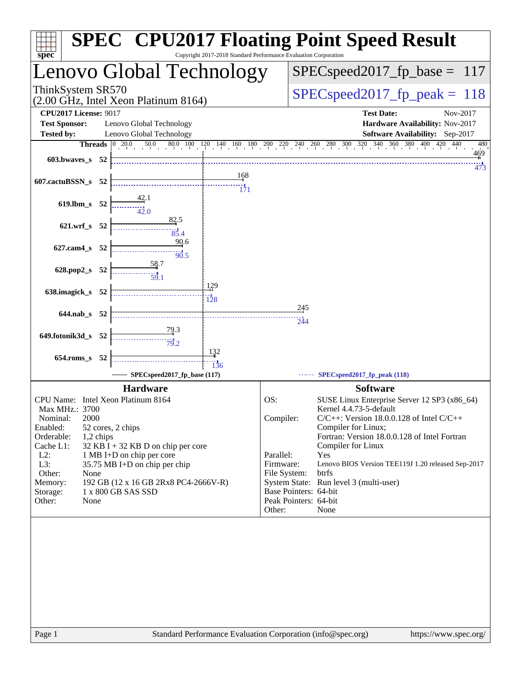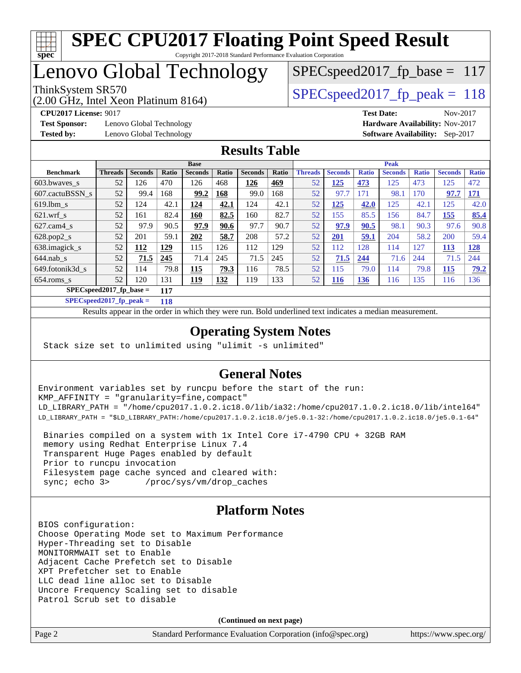

# Lenovo Global Technology

(2.00 GHz, Intel Xeon Platinum 8164)

ThinkSystem SR570<br>  $\angle Q$  Oo CHz, Intel Year Platinum 8164)<br>
SPECspeed2017 fp\_peak = 118 SPECspeed2017 fp base =  $117$ 

**[Test Sponsor:](http://www.spec.org/auto/cpu2017/Docs/result-fields.html#TestSponsor)** Lenovo Global Technology **[Hardware Availability:](http://www.spec.org/auto/cpu2017/Docs/result-fields.html#HardwareAvailability)** Nov-2017 **[Tested by:](http://www.spec.org/auto/cpu2017/Docs/result-fields.html#Testedby)** Lenovo Global Technology **[Software Availability:](http://www.spec.org/auto/cpu2017/Docs/result-fields.html#SoftwareAvailability)** Sep-2017

**[CPU2017 License:](http://www.spec.org/auto/cpu2017/Docs/result-fields.html#CPU2017License)** 9017 **[Test Date:](http://www.spec.org/auto/cpu2017/Docs/result-fields.html#TestDate)** Nov-2017

### **[Results Table](http://www.spec.org/auto/cpu2017/Docs/result-fields.html#ResultsTable)**

|                             | <b>Base</b>                      |                |       |                | <b>Peak</b> |                |       |                |                |              |                |              |                |              |
|-----------------------------|----------------------------------|----------------|-------|----------------|-------------|----------------|-------|----------------|----------------|--------------|----------------|--------------|----------------|--------------|
| <b>Benchmark</b>            | <b>Threads</b>                   | <b>Seconds</b> | Ratio | <b>Seconds</b> | Ratio       | <b>Seconds</b> | Ratio | <b>Threads</b> | <b>Seconds</b> | <b>Ratio</b> | <b>Seconds</b> | <b>Ratio</b> | <b>Seconds</b> | <b>Ratio</b> |
| 603.bwayes s                | 52                               | 126            | 470   | 126            | 468         | 126            | 469   | 52             | <u>125</u>     | 473          | 125            | 473          | 125            | 472          |
| 607.cactuBSSN s             | 52                               | 99.4           | 168   | 99.2           | 168         | 99.0           | 168   | 52             | 97.7           | 171          | 98.1           | 170          | 97.7           | <u>171</u>   |
| $619.$ lbm s                | 52                               | 124            | 42.1  | 124            | 42.1        | 124            | 42.1  | 52             | 125            | 42.0         | 125            | 42.1         | 125            | 42.0         |
| $621$ .wrf s                | 52                               | 161            | 82.4  | 160            | 82.5        | 160            | 82.7  | 52             | 155            | 85.5         | 156            | 84.7         | 155            | 85.4         |
| $627$ .cam $4$ <sub>S</sub> | 52                               | 97.9           | 90.5  | 97.9           | 90.6        | 97.7           | 90.7  | 52             | 97.9           | 90.5         | 98.1           | 90.3         | 97.6           | 90.8         |
| $628.pop2_s$                | 52                               | 201            | 59.1  | 202            | 58.7        | 208            | 57.2  | 52             | 201            | 59.1         | 204            | 58.2         | 200            | 59.4         |
| 638.imagick_s               | 52                               | 112            | 129   | 115            | 126         | 112            | 129   | 52             | 112            | 128          | 114            | 127          | 113            | <u>128</u>   |
| $644$ .nab s                | 52                               | 71.5           | 245   | 71.4           | 245         | 71.5           | 245   | 52             | 71.5           | 244          | 71.6           | 244          | 71.5           | 244          |
| 649.fotonik3d s             | 52                               | 114            | 79.8  | 115            | 79.3        | 116            | 78.5  | 52             | 115            | 79.0         | 114            | 79.8         | 115            | 79.2         |
| $654$ .roms s               | 52                               | 120            | 131   | 119            | 132         | 119            | 133   | 52             | 116            | <b>136</b>   | 116            | 135          | 116            | 136          |
|                             | $SPECspeed2017$ fp base =<br>117 |                |       |                |             |                |       |                |                |              |                |              |                |              |

**[SPECspeed2017\\_fp\\_peak =](http://www.spec.org/auto/cpu2017/Docs/result-fields.html#SPECspeed2017fppeak) 118**

Results appear in the [order in which they were run.](http://www.spec.org/auto/cpu2017/Docs/result-fields.html#RunOrder) Bold underlined text [indicates a median measurement](http://www.spec.org/auto/cpu2017/Docs/result-fields.html#Median).

### **[Operating System Notes](http://www.spec.org/auto/cpu2017/Docs/result-fields.html#OperatingSystemNotes)**

Stack size set to unlimited using "ulimit -s unlimited"

### **[General Notes](http://www.spec.org/auto/cpu2017/Docs/result-fields.html#GeneralNotes)**

Environment variables set by runcpu before the start of the run: KMP\_AFFINITY = "granularity=fine,compact" LD\_LIBRARY\_PATH = "/home/cpu2017.1.0.2.ic18.0/lib/ia32:/home/cpu2017.1.0.2.ic18.0/lib/intel64" LD\_LIBRARY\_PATH = "\$LD\_LIBRARY\_PATH:/home/cpu2017.1.0.2.ic18.0/je5.0.1-32:/home/cpu2017.1.0.2.ic18.0/je5.0.1-64"

 Binaries compiled on a system with 1x Intel Core i7-4790 CPU + 32GB RAM memory using Redhat Enterprise Linux 7.4 Transparent Huge Pages enabled by default Prior to runcpu invocation Filesystem page cache synced and cleared with: sync; echo 3> /proc/sys/vm/drop\_caches

### **[Platform Notes](http://www.spec.org/auto/cpu2017/Docs/result-fields.html#PlatformNotes)**

BIOS configuration: Choose Operating Mode set to Maximum Performance Hyper-Threading set to Disable MONITORMWAIT set to Enable Adjacent Cache Prefetch set to Disable XPT Prefetcher set to Enable LLC dead line alloc set to Disable Uncore Frequency Scaling set to disable Patrol Scrub set to disable

**(Continued on next page)**

| Page 2 | Standard Performance Evaluation Corporation (info@spec.org) | https://www.spec.org/ |
|--------|-------------------------------------------------------------|-----------------------|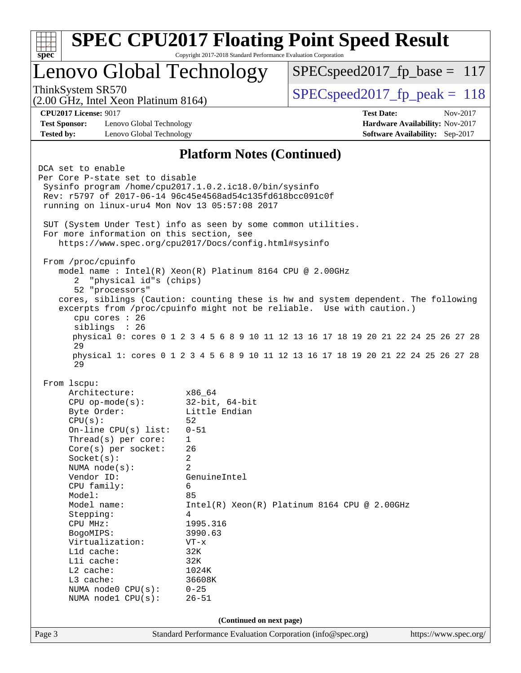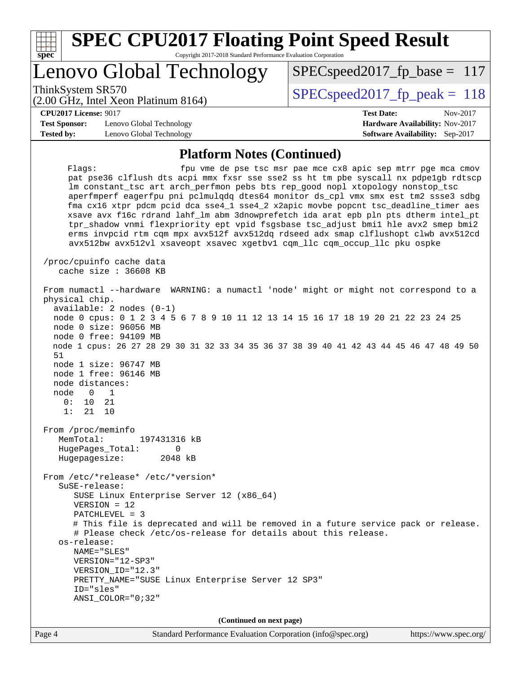| c<br>Æ<br>u<br>÷ |  |  |  |  |  |  |  |
|------------------|--|--|--|--|--|--|--|

# **[SPEC CPU2017 Floating Point Speed Result](http://www.spec.org/auto/cpu2017/Docs/result-fields.html#SPECCPU2017FloatingPointSpeedResult)**

Copyright 2017-2018 Standard Performance Evaluation Corporation

# Lenovo Global Technology

(2.00 GHz, Intel Xeon Platinum 8164)

ThinkSystem SR570<br>  $SPEC speed2017$  fp\_peak = 118

SPECspeed2017 fp base =  $117$ 

#### **[CPU2017 License:](http://www.spec.org/auto/cpu2017/Docs/result-fields.html#CPU2017License)** 9017 **[Test Date:](http://www.spec.org/auto/cpu2017/Docs/result-fields.html#TestDate)** Nov-2017

**[Test Sponsor:](http://www.spec.org/auto/cpu2017/Docs/result-fields.html#TestSponsor)** Lenovo Global Technology **[Hardware Availability:](http://www.spec.org/auto/cpu2017/Docs/result-fields.html#HardwareAvailability)** Nov-2017 **[Tested by:](http://www.spec.org/auto/cpu2017/Docs/result-fields.html#Testedby)** Lenovo Global Technology **[Software Availability:](http://www.spec.org/auto/cpu2017/Docs/result-fields.html#SoftwareAvailability)** Sep-2017

#### **[Platform Notes \(Continued\)](http://www.spec.org/auto/cpu2017/Docs/result-fields.html#PlatformNotes)**

Flags: fpu vme de pse tsc msr pae mce cx8 apic sep mtrr pge mca cmov pat pse36 clflush dts acpi mmx fxsr sse sse2 ss ht tm pbe syscall nx pdpe1gb rdtscp lm constant\_tsc art arch\_perfmon pebs bts rep\_good nopl xtopology nonstop\_tsc aperfmperf eagerfpu pni pclmulqdq dtes64 monitor ds\_cpl vmx smx est tm2 ssse3 sdbg fma cx16 xtpr pdcm pcid dca sse4\_1 sse4\_2 x2apic movbe popcnt tsc\_deadline\_timer aes xsave avx f16c rdrand lahf\_lm abm 3dnowprefetch ida arat epb pln pts dtherm intel\_pt tpr\_shadow vnmi flexpriority ept vpid fsgsbase tsc\_adjust bmi1 hle avx2 smep bmi2 erms invpcid rtm cqm mpx avx512f avx512dq rdseed adx smap clflushopt clwb avx512cd avx512bw avx512vl xsaveopt xsavec xgetbv1 cqm\_llc cqm\_occup\_llc pku ospke /proc/cpuinfo cache data cache size : 36608 KB From numactl --hardware WARNING: a numactl 'node' might or might not correspond to a physical chip. available: 2 nodes (0-1) node 0 cpus: 0 1 2 3 4 5 6 7 8 9 10 11 12 13 14 15 16 17 18 19 20 21 22 23 24 25 node 0 size: 96056 MB node 0 free: 94109 MB node 1 cpus: 26 27 28 29 30 31 32 33 34 35 36 37 38 39 40 41 42 43 44 45 46 47 48 49 50 51 node 1 size: 96747 MB node 1 free: 96146 MB node distances: node 0 1 0: 10 21 1: 21 10 From /proc/meminfo MemTotal: 197431316 kB HugePages\_Total: 0<br>Hugepagesize: 2048 kB Hugepagesize: From /etc/\*release\* /etc/\*version\* SuSE-release: SUSE Linux Enterprise Server 12 (x86\_64) VERSION = 12 PATCHLEVEL = 3 # This file is deprecated and will be removed in a future service pack or release. # Please check /etc/os-release for details about this release. os-release: NAME="SLES" VERSION="12-SP3" VERSION\_ID="12.3" PRETTY\_NAME="SUSE Linux Enterprise Server 12 SP3" ID="sles" ANSI\_COLOR="0;32" **(Continued on next page)**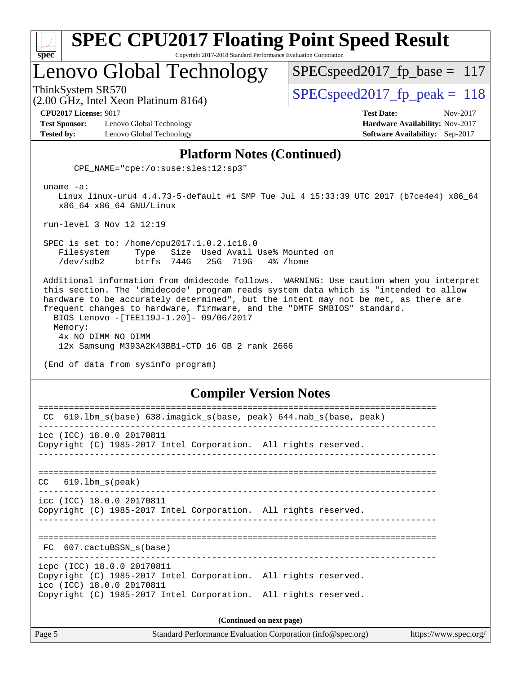| v.<br>æ<br>۱, |  |  |  |  |  |  |
|---------------|--|--|--|--|--|--|

# Lenovo Global Technology

(2.00 GHz, Intel Xeon Platinum 8164)

ThinkSystem SR570<br>  $SPEC speed2017$  fp\_peak = 118

SPECspeed2017 fp base =  $117$ 

**[CPU2017 License:](http://www.spec.org/auto/cpu2017/Docs/result-fields.html#CPU2017License)** 9017 **[Test Date:](http://www.spec.org/auto/cpu2017/Docs/result-fields.html#TestDate)** Nov-2017

**[Test Sponsor:](http://www.spec.org/auto/cpu2017/Docs/result-fields.html#TestSponsor)** Lenovo Global Technology **[Hardware Availability:](http://www.spec.org/auto/cpu2017/Docs/result-fields.html#HardwareAvailability)** Nov-2017 **[Tested by:](http://www.spec.org/auto/cpu2017/Docs/result-fields.html#Testedby)** Lenovo Global Technology **[Software Availability:](http://www.spec.org/auto/cpu2017/Docs/result-fields.html#SoftwareAvailability)** Sep-2017

#### **[Platform Notes \(Continued\)](http://www.spec.org/auto/cpu2017/Docs/result-fields.html#PlatformNotes)**

CPE\_NAME="cpe:/o:suse:sles:12:sp3"

uname -a:

 Linux linux-uru4 4.4.73-5-default #1 SMP Tue Jul 4 15:33:39 UTC 2017 (b7ce4e4) x86\_64 x86\_64 x86\_64 GNU/Linux

run-level 3 Nov 12 12:19

 SPEC is set to: /home/cpu2017.1.0.2.ic18.0 Filesystem Type Size Used Avail Use% Mounted on /dev/sdb2 btrfs 744G 25G 719G 4% /home

 Additional information from dmidecode follows. WARNING: Use caution when you interpret this section. The 'dmidecode' program reads system data which is "intended to allow hardware to be accurately determined", but the intent may not be met, as there are frequent changes to hardware, firmware, and the "DMTF SMBIOS" standard. BIOS Lenovo -[TEE119J-1.20]- 09/06/2017 Memory: 4x NO DIMM NO DIMM 12x Samsung M393A2K43BB1-CTD 16 GB 2 rank 2666

(End of data from sysinfo program)

#### **[Compiler Version Notes](http://www.spec.org/auto/cpu2017/Docs/result-fields.html#CompilerVersionNotes)**

| CC 619.1bm_s(base) 638.imagick_s(base, peak) 644.nab_s(base, peak)                                                         |  |  |  |  |  |  |
|----------------------------------------------------------------------------------------------------------------------------|--|--|--|--|--|--|
| icc (ICC) 18.0.0 20170811<br>Copyright (C) 1985-2017 Intel Corporation. All rights reserved.                               |  |  |  |  |  |  |
|                                                                                                                            |  |  |  |  |  |  |
| $CC$ 619.1bm $s$ (peak)                                                                                                    |  |  |  |  |  |  |
| icc (ICC) 18.0.0 20170811<br>Copyright (C) 1985-2017 Intel Corporation. All rights reserved.                               |  |  |  |  |  |  |
| FC 607.cactuBSSN_s(base)                                                                                                   |  |  |  |  |  |  |
| icpc (ICC) 18.0.0 20170811<br>Copyright (C) 1985-2017 Intel Corporation. All rights reserved.<br>icc (ICC) 18.0.0 20170811 |  |  |  |  |  |  |
| Copyright (C) 1985-2017 Intel Corporation. All rights reserved.                                                            |  |  |  |  |  |  |
| (Continued on next page)                                                                                                   |  |  |  |  |  |  |

Page 5 Standard Performance Evaluation Corporation [\(info@spec.org\)](mailto:info@spec.org) <https://www.spec.org/>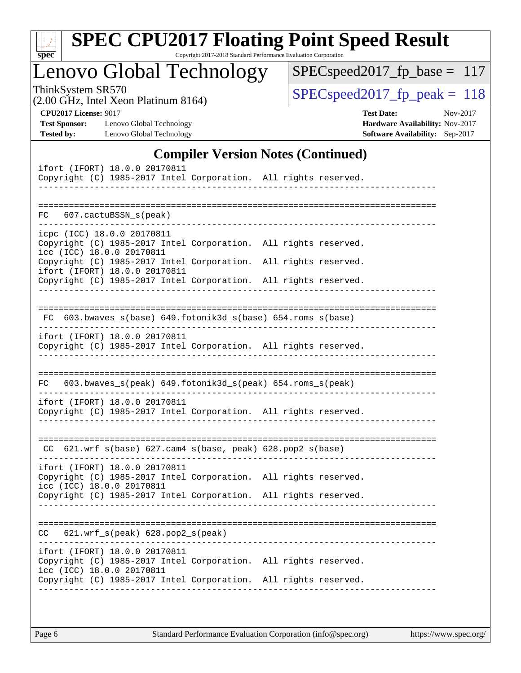| u<br>г |  |  |  |  |  |  |
|--------|--|--|--|--|--|--|

# **[SPEC CPU2017 Floating Point Speed Result](http://www.spec.org/auto/cpu2017/Docs/result-fields.html#SPECCPU2017FloatingPointSpeedResult)**

Copyright 2017-2018 Standard Performance Evaluation Corporation

Lenovo Global Technology

 $SPEC speed2017_fp\_base = 117$ 

(2.00 GHz, Intel Xeon Platinum 8164)

ThinkSystem SR570<br>  $(2.00 \text{ GHz. Intel } \text{Yeen Platinum } 8164)$  [SPECspeed2017\\_fp\\_peak =](http://www.spec.org/auto/cpu2017/Docs/result-fields.html#SPECspeed2017fppeak) 118

**[Test Sponsor:](http://www.spec.org/auto/cpu2017/Docs/result-fields.html#TestSponsor)** Lenovo Global Technology **[Hardware Availability:](http://www.spec.org/auto/cpu2017/Docs/result-fields.html#HardwareAvailability)** Nov-2017 **[Tested by:](http://www.spec.org/auto/cpu2017/Docs/result-fields.html#Testedby)** Lenovo Global Technology **[Software Availability:](http://www.spec.org/auto/cpu2017/Docs/result-fields.html#SoftwareAvailability)** Sep-2017

**[CPU2017 License:](http://www.spec.org/auto/cpu2017/Docs/result-fields.html#CPU2017License)** 9017 **[Test Date:](http://www.spec.org/auto/cpu2017/Docs/result-fields.html#TestDate)** Nov-2017

#### **[Compiler Version Notes \(Continued\)](http://www.spec.org/auto/cpu2017/Docs/result-fields.html#CompilerVersionNotes)**

| ifort (IFORT) 18.0.0 20170811<br>Copyright (C) 1985-2017 Intel Corporation. All rights reserved.                                                                                                 |  |                                       |
|--------------------------------------------------------------------------------------------------------------------------------------------------------------------------------------------------|--|---------------------------------------|
| FC 607.cactuBSSN_s(peak)                                                                                                                                                                         |  |                                       |
| icpc (ICC) 18.0.0 20170811<br>Copyright (C) 1985-2017 Intel Corporation. All rights reserved.<br>icc (ICC) 18.0.0 20170811<br>Copyright (C) 1985-2017 Intel Corporation. All rights reserved.    |  |                                       |
| ifort (IFORT) 18.0.0 20170811<br>Copyright (C) 1985-2017 Intel Corporation. All rights reserved.                                                                                                 |  |                                       |
|                                                                                                                                                                                                  |  | ================================      |
| FC 603.bwaves_s(base) 649.fotonik3d_s(base) 654.roms_s(base)                                                                                                                                     |  |                                       |
| ifort (IFORT) 18.0.0 20170811<br>Copyright (C) 1985-2017 Intel Corporation. All rights reserved.                                                                                                 |  |                                       |
| 603.bwaves_s(peak) 649.fotonik3d_s(peak) 654.roms_s(peak)<br>FC.                                                                                                                                 |  |                                       |
| ifort (IFORT) 18.0.0 20170811<br>Copyright (C) 1985-2017 Intel Corporation. All rights reserved.                                                                                                 |  |                                       |
| CC 621.wrf_s(base) 627.cam4_s(base, peak) 628.pop2_s(base)                                                                                                                                       |  |                                       |
| ifort (IFORT) 18.0.0 20170811<br>Copyright (C) 1985-2017 Intel Corporation. All rights reserved.<br>icc (ICC) 18.0.0 20170811                                                                    |  |                                       |
| Copyright (C) 1985-2017 Intel Corporation. All rights reserved.                                                                                                                                  |  |                                       |
| $621.wrf_s(peak)$ $628.pop2_s(peak)$<br>CC.                                                                                                                                                      |  | ===================================== |
| ifort (IFORT) 18.0.0 20170811<br>Copyright (C) 1985-2017 Intel Corporation. All rights reserved.<br>icc (ICC) 18.0.0 20170811<br>Copyright (C) 1985-2017 Intel Corporation. All rights reserved. |  |                                       |
|                                                                                                                                                                                                  |  |                                       |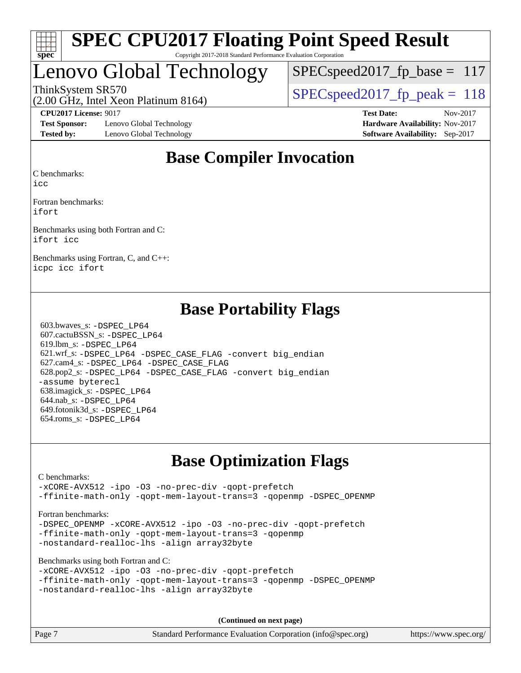

# Lenovo Global Technology

SPECspeed2017 fp base =  $117$ 

ThinkSystem SR570<br>  $\angle Q$  Oo CHz, Intel Year Platinum 8164)<br>
SPECspeed2017 fp\_peak = 118

### (2.00 GHz, Intel Xeon Platinum 8164)

**[Test Sponsor:](http://www.spec.org/auto/cpu2017/Docs/result-fields.html#TestSponsor)** Lenovo Global Technology **[Hardware Availability:](http://www.spec.org/auto/cpu2017/Docs/result-fields.html#HardwareAvailability)** Nov-2017 **[Tested by:](http://www.spec.org/auto/cpu2017/Docs/result-fields.html#Testedby)** Lenovo Global Technology **[Software Availability:](http://www.spec.org/auto/cpu2017/Docs/result-fields.html#SoftwareAvailability)** Sep-2017

**[CPU2017 License:](http://www.spec.org/auto/cpu2017/Docs/result-fields.html#CPU2017License)** 9017 **[Test Date:](http://www.spec.org/auto/cpu2017/Docs/result-fields.html#TestDate)** Nov-2017

### **[Base Compiler Invocation](http://www.spec.org/auto/cpu2017/Docs/result-fields.html#BaseCompilerInvocation)**

[C benchmarks](http://www.spec.org/auto/cpu2017/Docs/result-fields.html#Cbenchmarks):

[icc](http://www.spec.org/cpu2017/results/res2017q4/cpu2017-20171114-00707.flags.html#user_CCbase_intel_icc_18.0_66fc1ee009f7361af1fbd72ca7dcefbb700085f36577c54f309893dd4ec40d12360134090235512931783d35fd58c0460139e722d5067c5574d8eaf2b3e37e92)

[Fortran benchmarks:](http://www.spec.org/auto/cpu2017/Docs/result-fields.html#Fortranbenchmarks) [ifort](http://www.spec.org/cpu2017/results/res2017q4/cpu2017-20171114-00707.flags.html#user_FCbase_intel_ifort_18.0_8111460550e3ca792625aed983ce982f94888b8b503583aa7ba2b8303487b4d8a21a13e7191a45c5fd58ff318f48f9492884d4413fa793fd88dd292cad7027ca)

[Benchmarks using both Fortran and C](http://www.spec.org/auto/cpu2017/Docs/result-fields.html#BenchmarksusingbothFortranandC): [ifort](http://www.spec.org/cpu2017/results/res2017q4/cpu2017-20171114-00707.flags.html#user_CC_FCbase_intel_ifort_18.0_8111460550e3ca792625aed983ce982f94888b8b503583aa7ba2b8303487b4d8a21a13e7191a45c5fd58ff318f48f9492884d4413fa793fd88dd292cad7027ca) [icc](http://www.spec.org/cpu2017/results/res2017q4/cpu2017-20171114-00707.flags.html#user_CC_FCbase_intel_icc_18.0_66fc1ee009f7361af1fbd72ca7dcefbb700085f36577c54f309893dd4ec40d12360134090235512931783d35fd58c0460139e722d5067c5574d8eaf2b3e37e92)

[Benchmarks using Fortran, C, and C++](http://www.spec.org/auto/cpu2017/Docs/result-fields.html#BenchmarksusingFortranCandCXX): [icpc](http://www.spec.org/cpu2017/results/res2017q4/cpu2017-20171114-00707.flags.html#user_CC_CXX_FCbase_intel_icpc_18.0_c510b6838c7f56d33e37e94d029a35b4a7bccf4766a728ee175e80a419847e808290a9b78be685c44ab727ea267ec2f070ec5dc83b407c0218cded6866a35d07) [icc](http://www.spec.org/cpu2017/results/res2017q4/cpu2017-20171114-00707.flags.html#user_CC_CXX_FCbase_intel_icc_18.0_66fc1ee009f7361af1fbd72ca7dcefbb700085f36577c54f309893dd4ec40d12360134090235512931783d35fd58c0460139e722d5067c5574d8eaf2b3e37e92) [ifort](http://www.spec.org/cpu2017/results/res2017q4/cpu2017-20171114-00707.flags.html#user_CC_CXX_FCbase_intel_ifort_18.0_8111460550e3ca792625aed983ce982f94888b8b503583aa7ba2b8303487b4d8a21a13e7191a45c5fd58ff318f48f9492884d4413fa793fd88dd292cad7027ca)

### **[Base Portability Flags](http://www.spec.org/auto/cpu2017/Docs/result-fields.html#BasePortabilityFlags)**

 603.bwaves\_s: [-DSPEC\\_LP64](http://www.spec.org/cpu2017/results/res2017q4/cpu2017-20171114-00707.flags.html#suite_basePORTABILITY603_bwaves_s_DSPEC_LP64) 607.cactuBSSN\_s: [-DSPEC\\_LP64](http://www.spec.org/cpu2017/results/res2017q4/cpu2017-20171114-00707.flags.html#suite_basePORTABILITY607_cactuBSSN_s_DSPEC_LP64) 619.lbm\_s: [-DSPEC\\_LP64](http://www.spec.org/cpu2017/results/res2017q4/cpu2017-20171114-00707.flags.html#suite_basePORTABILITY619_lbm_s_DSPEC_LP64) 621.wrf\_s: [-DSPEC\\_LP64](http://www.spec.org/cpu2017/results/res2017q4/cpu2017-20171114-00707.flags.html#suite_basePORTABILITY621_wrf_s_DSPEC_LP64) [-DSPEC\\_CASE\\_FLAG](http://www.spec.org/cpu2017/results/res2017q4/cpu2017-20171114-00707.flags.html#b621.wrf_s_baseCPORTABILITY_DSPEC_CASE_FLAG) [-convert big\\_endian](http://www.spec.org/cpu2017/results/res2017q4/cpu2017-20171114-00707.flags.html#user_baseFPORTABILITY621_wrf_s_convert_big_endian_c3194028bc08c63ac5d04de18c48ce6d347e4e562e8892b8bdbdc0214820426deb8554edfa529a3fb25a586e65a3d812c835984020483e7e73212c4d31a38223) 627.cam4\_s: [-DSPEC\\_LP64](http://www.spec.org/cpu2017/results/res2017q4/cpu2017-20171114-00707.flags.html#suite_basePORTABILITY627_cam4_s_DSPEC_LP64) [-DSPEC\\_CASE\\_FLAG](http://www.spec.org/cpu2017/results/res2017q4/cpu2017-20171114-00707.flags.html#b627.cam4_s_baseCPORTABILITY_DSPEC_CASE_FLAG) 628.pop2\_s: [-DSPEC\\_LP64](http://www.spec.org/cpu2017/results/res2017q4/cpu2017-20171114-00707.flags.html#suite_basePORTABILITY628_pop2_s_DSPEC_LP64) [-DSPEC\\_CASE\\_FLAG](http://www.spec.org/cpu2017/results/res2017q4/cpu2017-20171114-00707.flags.html#b628.pop2_s_baseCPORTABILITY_DSPEC_CASE_FLAG) [-convert big\\_endian](http://www.spec.org/cpu2017/results/res2017q4/cpu2017-20171114-00707.flags.html#user_baseFPORTABILITY628_pop2_s_convert_big_endian_c3194028bc08c63ac5d04de18c48ce6d347e4e562e8892b8bdbdc0214820426deb8554edfa529a3fb25a586e65a3d812c835984020483e7e73212c4d31a38223) [-assume byterecl](http://www.spec.org/cpu2017/results/res2017q4/cpu2017-20171114-00707.flags.html#user_baseFPORTABILITY628_pop2_s_assume_byterecl_7e47d18b9513cf18525430bbf0f2177aa9bf368bc7a059c09b2c06a34b53bd3447c950d3f8d6c70e3faf3a05c8557d66a5798b567902e8849adc142926523472) 638.imagick\_s: [-DSPEC\\_LP64](http://www.spec.org/cpu2017/results/res2017q4/cpu2017-20171114-00707.flags.html#suite_basePORTABILITY638_imagick_s_DSPEC_LP64) 644.nab\_s: [-DSPEC\\_LP64](http://www.spec.org/cpu2017/results/res2017q4/cpu2017-20171114-00707.flags.html#suite_basePORTABILITY644_nab_s_DSPEC_LP64) 649.fotonik3d\_s: [-DSPEC\\_LP64](http://www.spec.org/cpu2017/results/res2017q4/cpu2017-20171114-00707.flags.html#suite_basePORTABILITY649_fotonik3d_s_DSPEC_LP64) 654.roms\_s: [-DSPEC\\_LP64](http://www.spec.org/cpu2017/results/res2017q4/cpu2017-20171114-00707.flags.html#suite_basePORTABILITY654_roms_s_DSPEC_LP64)

### **[Base Optimization Flags](http://www.spec.org/auto/cpu2017/Docs/result-fields.html#BaseOptimizationFlags)**

[C benchmarks](http://www.spec.org/auto/cpu2017/Docs/result-fields.html#Cbenchmarks):

[-xCORE-AVX512](http://www.spec.org/cpu2017/results/res2017q4/cpu2017-20171114-00707.flags.html#user_CCbase_f-xCORE-AVX512) [-ipo](http://www.spec.org/cpu2017/results/res2017q4/cpu2017-20171114-00707.flags.html#user_CCbase_f-ipo) [-O3](http://www.spec.org/cpu2017/results/res2017q4/cpu2017-20171114-00707.flags.html#user_CCbase_f-O3) [-no-prec-div](http://www.spec.org/cpu2017/results/res2017q4/cpu2017-20171114-00707.flags.html#user_CCbase_f-no-prec-div) [-qopt-prefetch](http://www.spec.org/cpu2017/results/res2017q4/cpu2017-20171114-00707.flags.html#user_CCbase_f-qopt-prefetch) [-ffinite-math-only](http://www.spec.org/cpu2017/results/res2017q4/cpu2017-20171114-00707.flags.html#user_CCbase_f_finite_math_only_cb91587bd2077682c4b38af759c288ed7c732db004271a9512da14a4f8007909a5f1427ecbf1a0fb78ff2a814402c6114ac565ca162485bbcae155b5e4258871) [-qopt-mem-layout-trans=3](http://www.spec.org/cpu2017/results/res2017q4/cpu2017-20171114-00707.flags.html#user_CCbase_f-qopt-mem-layout-trans_de80db37974c74b1f0e20d883f0b675c88c3b01e9d123adea9b28688d64333345fb62bc4a798493513fdb68f60282f9a726aa07f478b2f7113531aecce732043) [-qopenmp](http://www.spec.org/cpu2017/results/res2017q4/cpu2017-20171114-00707.flags.html#user_CCbase_qopenmp_16be0c44f24f464004c6784a7acb94aca937f053568ce72f94b139a11c7c168634a55f6653758ddd83bcf7b8463e8028bb0b48b77bcddc6b78d5d95bb1df2967) [-DSPEC\\_OPENMP](http://www.spec.org/cpu2017/results/res2017q4/cpu2017-20171114-00707.flags.html#suite_CCbase_DSPEC_OPENMP)

[Fortran benchmarks](http://www.spec.org/auto/cpu2017/Docs/result-fields.html#Fortranbenchmarks):

-DSPEC OPENMP [-xCORE-AVX512](http://www.spec.org/cpu2017/results/res2017q4/cpu2017-20171114-00707.flags.html#user_FCbase_f-xCORE-AVX512) [-ipo](http://www.spec.org/cpu2017/results/res2017q4/cpu2017-20171114-00707.flags.html#user_FCbase_f-ipo) [-O3](http://www.spec.org/cpu2017/results/res2017q4/cpu2017-20171114-00707.flags.html#user_FCbase_f-O3) [-no-prec-div](http://www.spec.org/cpu2017/results/res2017q4/cpu2017-20171114-00707.flags.html#user_FCbase_f-no-prec-div) [-qopt-prefetch](http://www.spec.org/cpu2017/results/res2017q4/cpu2017-20171114-00707.flags.html#user_FCbase_f-qopt-prefetch) [-ffinite-math-only](http://www.spec.org/cpu2017/results/res2017q4/cpu2017-20171114-00707.flags.html#user_FCbase_f_finite_math_only_cb91587bd2077682c4b38af759c288ed7c732db004271a9512da14a4f8007909a5f1427ecbf1a0fb78ff2a814402c6114ac565ca162485bbcae155b5e4258871) [-qopt-mem-layout-trans=3](http://www.spec.org/cpu2017/results/res2017q4/cpu2017-20171114-00707.flags.html#user_FCbase_f-qopt-mem-layout-trans_de80db37974c74b1f0e20d883f0b675c88c3b01e9d123adea9b28688d64333345fb62bc4a798493513fdb68f60282f9a726aa07f478b2f7113531aecce732043) [-qopenmp](http://www.spec.org/cpu2017/results/res2017q4/cpu2017-20171114-00707.flags.html#user_FCbase_qopenmp_16be0c44f24f464004c6784a7acb94aca937f053568ce72f94b139a11c7c168634a55f6653758ddd83bcf7b8463e8028bb0b48b77bcddc6b78d5d95bb1df2967) [-nostandard-realloc-lhs](http://www.spec.org/cpu2017/results/res2017q4/cpu2017-20171114-00707.flags.html#user_FCbase_f_2003_std_realloc_82b4557e90729c0f113870c07e44d33d6f5a304b4f63d4c15d2d0f1fab99f5daaed73bdb9275d9ae411527f28b936061aa8b9c8f2d63842963b95c9dd6426b8a) [-align array32byte](http://www.spec.org/cpu2017/results/res2017q4/cpu2017-20171114-00707.flags.html#user_FCbase_align_array32byte_b982fe038af199962ba9a80c053b8342c548c85b40b8e86eb3cc33dee0d7986a4af373ac2d51c3f7cf710a18d62fdce2948f201cd044323541f22fc0fffc51b6)

[Benchmarks using both Fortran and C](http://www.spec.org/auto/cpu2017/Docs/result-fields.html#BenchmarksusingbothFortranandC):

```
-xCORE-AVX512 -ipo -O3 -no-prec-div -qopt-prefetch
-ffinite-math-only -qopt-mem-layout-trans=3 -qopenmp -DSPEC_OPENMP
-nostandard-realloc-lhs -align array32byte
```
**(Continued on next page)**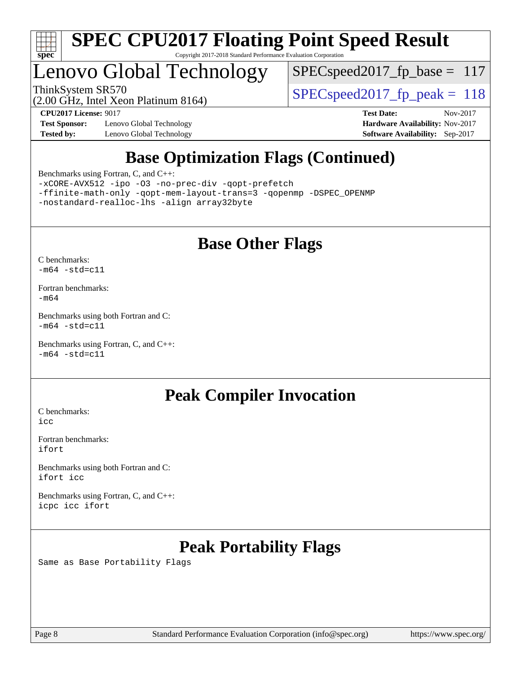

# Lenovo Global Technology

 $SPEC speed2017_fp\_base = 117$ 

(2.00 GHz, Intel Xeon Platinum 8164)

ThinkSystem SR570<br>  $SPEC speed2017$  fp\_peak = 118

**[Test Sponsor:](http://www.spec.org/auto/cpu2017/Docs/result-fields.html#TestSponsor)** Lenovo Global Technology **[Hardware Availability:](http://www.spec.org/auto/cpu2017/Docs/result-fields.html#HardwareAvailability)** Nov-2017 **[Tested by:](http://www.spec.org/auto/cpu2017/Docs/result-fields.html#Testedby)** Lenovo Global Technology **[Software Availability:](http://www.spec.org/auto/cpu2017/Docs/result-fields.html#SoftwareAvailability)** Sep-2017

**[CPU2017 License:](http://www.spec.org/auto/cpu2017/Docs/result-fields.html#CPU2017License)** 9017 **[Test Date:](http://www.spec.org/auto/cpu2017/Docs/result-fields.html#TestDate)** Nov-2017

### **[Base Optimization Flags \(Continued\)](http://www.spec.org/auto/cpu2017/Docs/result-fields.html#BaseOptimizationFlags)**

[Benchmarks using Fortran, C, and C++:](http://www.spec.org/auto/cpu2017/Docs/result-fields.html#BenchmarksusingFortranCandCXX)

[-xCORE-AVX512](http://www.spec.org/cpu2017/results/res2017q4/cpu2017-20171114-00707.flags.html#user_CC_CXX_FCbase_f-xCORE-AVX512) [-ipo](http://www.spec.org/cpu2017/results/res2017q4/cpu2017-20171114-00707.flags.html#user_CC_CXX_FCbase_f-ipo) [-O3](http://www.spec.org/cpu2017/results/res2017q4/cpu2017-20171114-00707.flags.html#user_CC_CXX_FCbase_f-O3) [-no-prec-div](http://www.spec.org/cpu2017/results/res2017q4/cpu2017-20171114-00707.flags.html#user_CC_CXX_FCbase_f-no-prec-div) [-qopt-prefetch](http://www.spec.org/cpu2017/results/res2017q4/cpu2017-20171114-00707.flags.html#user_CC_CXX_FCbase_f-qopt-prefetch) [-ffinite-math-only](http://www.spec.org/cpu2017/results/res2017q4/cpu2017-20171114-00707.flags.html#user_CC_CXX_FCbase_f_finite_math_only_cb91587bd2077682c4b38af759c288ed7c732db004271a9512da14a4f8007909a5f1427ecbf1a0fb78ff2a814402c6114ac565ca162485bbcae155b5e4258871) [-qopt-mem-layout-trans=3](http://www.spec.org/cpu2017/results/res2017q4/cpu2017-20171114-00707.flags.html#user_CC_CXX_FCbase_f-qopt-mem-layout-trans_de80db37974c74b1f0e20d883f0b675c88c3b01e9d123adea9b28688d64333345fb62bc4a798493513fdb68f60282f9a726aa07f478b2f7113531aecce732043) [-qopenmp](http://www.spec.org/cpu2017/results/res2017q4/cpu2017-20171114-00707.flags.html#user_CC_CXX_FCbase_qopenmp_16be0c44f24f464004c6784a7acb94aca937f053568ce72f94b139a11c7c168634a55f6653758ddd83bcf7b8463e8028bb0b48b77bcddc6b78d5d95bb1df2967) [-DSPEC\\_OPENMP](http://www.spec.org/cpu2017/results/res2017q4/cpu2017-20171114-00707.flags.html#suite_CC_CXX_FCbase_DSPEC_OPENMP) [-nostandard-realloc-lhs](http://www.spec.org/cpu2017/results/res2017q4/cpu2017-20171114-00707.flags.html#user_CC_CXX_FCbase_f_2003_std_realloc_82b4557e90729c0f113870c07e44d33d6f5a304b4f63d4c15d2d0f1fab99f5daaed73bdb9275d9ae411527f28b936061aa8b9c8f2d63842963b95c9dd6426b8a) [-align array32byte](http://www.spec.org/cpu2017/results/res2017q4/cpu2017-20171114-00707.flags.html#user_CC_CXX_FCbase_align_array32byte_b982fe038af199962ba9a80c053b8342c548c85b40b8e86eb3cc33dee0d7986a4af373ac2d51c3f7cf710a18d62fdce2948f201cd044323541f22fc0fffc51b6)

### **[Base Other Flags](http://www.spec.org/auto/cpu2017/Docs/result-fields.html#BaseOtherFlags)**

[C benchmarks](http://www.spec.org/auto/cpu2017/Docs/result-fields.html#Cbenchmarks):  $-m64 - std= c11$  $-m64 - std= c11$ 

[Fortran benchmarks](http://www.spec.org/auto/cpu2017/Docs/result-fields.html#Fortranbenchmarks): [-m64](http://www.spec.org/cpu2017/results/res2017q4/cpu2017-20171114-00707.flags.html#user_FCbase_intel_intel64_18.0_af43caccfc8ded86e7699f2159af6efc7655f51387b94da716254467f3c01020a5059329e2569e4053f409e7c9202a7efc638f7a6d1ffb3f52dea4a3e31d82ab)

[Benchmarks using both Fortran and C](http://www.spec.org/auto/cpu2017/Docs/result-fields.html#BenchmarksusingbothFortranandC):  $-m64$   $-std=cl1$ 

[Benchmarks using Fortran, C, and C++:](http://www.spec.org/auto/cpu2017/Docs/result-fields.html#BenchmarksusingFortranCandCXX)  $-m64$   $-std=cl1$ 

### **[Peak Compiler Invocation](http://www.spec.org/auto/cpu2017/Docs/result-fields.html#PeakCompilerInvocation)**

[C benchmarks](http://www.spec.org/auto/cpu2017/Docs/result-fields.html#Cbenchmarks): [icc](http://www.spec.org/cpu2017/results/res2017q4/cpu2017-20171114-00707.flags.html#user_CCpeak_intel_icc_18.0_66fc1ee009f7361af1fbd72ca7dcefbb700085f36577c54f309893dd4ec40d12360134090235512931783d35fd58c0460139e722d5067c5574d8eaf2b3e37e92)

[Fortran benchmarks](http://www.spec.org/auto/cpu2017/Docs/result-fields.html#Fortranbenchmarks): [ifort](http://www.spec.org/cpu2017/results/res2017q4/cpu2017-20171114-00707.flags.html#user_FCpeak_intel_ifort_18.0_8111460550e3ca792625aed983ce982f94888b8b503583aa7ba2b8303487b4d8a21a13e7191a45c5fd58ff318f48f9492884d4413fa793fd88dd292cad7027ca)

[Benchmarks using both Fortran and C](http://www.spec.org/auto/cpu2017/Docs/result-fields.html#BenchmarksusingbothFortranandC): [ifort](http://www.spec.org/cpu2017/results/res2017q4/cpu2017-20171114-00707.flags.html#user_CC_FCpeak_intel_ifort_18.0_8111460550e3ca792625aed983ce982f94888b8b503583aa7ba2b8303487b4d8a21a13e7191a45c5fd58ff318f48f9492884d4413fa793fd88dd292cad7027ca) [icc](http://www.spec.org/cpu2017/results/res2017q4/cpu2017-20171114-00707.flags.html#user_CC_FCpeak_intel_icc_18.0_66fc1ee009f7361af1fbd72ca7dcefbb700085f36577c54f309893dd4ec40d12360134090235512931783d35fd58c0460139e722d5067c5574d8eaf2b3e37e92)

[Benchmarks using Fortran, C, and C++:](http://www.spec.org/auto/cpu2017/Docs/result-fields.html#BenchmarksusingFortranCandCXX) [icpc](http://www.spec.org/cpu2017/results/res2017q4/cpu2017-20171114-00707.flags.html#user_CC_CXX_FCpeak_intel_icpc_18.0_c510b6838c7f56d33e37e94d029a35b4a7bccf4766a728ee175e80a419847e808290a9b78be685c44ab727ea267ec2f070ec5dc83b407c0218cded6866a35d07) [icc](http://www.spec.org/cpu2017/results/res2017q4/cpu2017-20171114-00707.flags.html#user_CC_CXX_FCpeak_intel_icc_18.0_66fc1ee009f7361af1fbd72ca7dcefbb700085f36577c54f309893dd4ec40d12360134090235512931783d35fd58c0460139e722d5067c5574d8eaf2b3e37e92) [ifort](http://www.spec.org/cpu2017/results/res2017q4/cpu2017-20171114-00707.flags.html#user_CC_CXX_FCpeak_intel_ifort_18.0_8111460550e3ca792625aed983ce982f94888b8b503583aa7ba2b8303487b4d8a21a13e7191a45c5fd58ff318f48f9492884d4413fa793fd88dd292cad7027ca)

## **[Peak Portability Flags](http://www.spec.org/auto/cpu2017/Docs/result-fields.html#PeakPortabilityFlags)**

Same as Base Portability Flags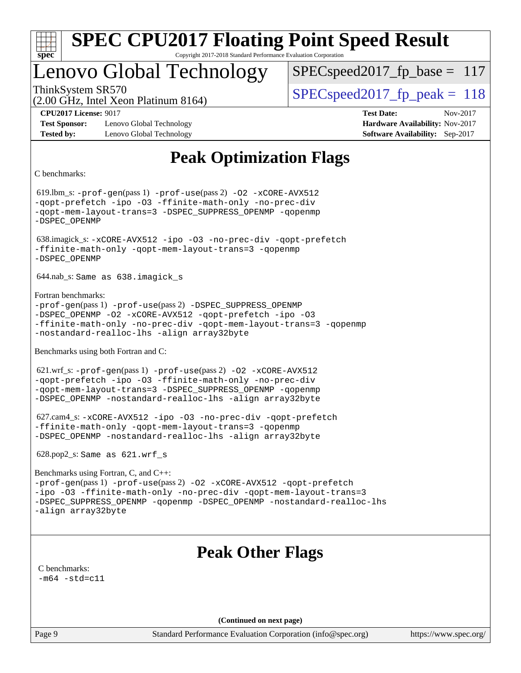

## Lenovo Global Technology

ThinkSystem SR570<br>  $SPEC speed2017$  fp\_peak = 118 SPECspeed2017 fp base =  $117$ 

(2.00 GHz, Intel Xeon Platinum 8164)

**[Test Sponsor:](http://www.spec.org/auto/cpu2017/Docs/result-fields.html#TestSponsor)** Lenovo Global Technology **[Hardware Availability:](http://www.spec.org/auto/cpu2017/Docs/result-fields.html#HardwareAvailability)** Nov-2017 **[Tested by:](http://www.spec.org/auto/cpu2017/Docs/result-fields.html#Testedby)** Lenovo Global Technology **[Software Availability:](http://www.spec.org/auto/cpu2017/Docs/result-fields.html#SoftwareAvailability)** Sep-2017

**[CPU2017 License:](http://www.spec.org/auto/cpu2017/Docs/result-fields.html#CPU2017License)** 9017 **[Test Date:](http://www.spec.org/auto/cpu2017/Docs/result-fields.html#TestDate)** Nov-2017

### **[Peak Optimization Flags](http://www.spec.org/auto/cpu2017/Docs/result-fields.html#PeakOptimizationFlags)**

[C benchmarks](http://www.spec.org/auto/cpu2017/Docs/result-fields.html#Cbenchmarks):

 619.lbm\_s: [-prof-gen](http://www.spec.org/cpu2017/results/res2017q4/cpu2017-20171114-00707.flags.html#user_peakPASS1_CFLAGSPASS1_LDFLAGS619_lbm_s_prof_gen_5aa4926d6013ddb2a31985c654b3eb18169fc0c6952a63635c234f711e6e63dd76e94ad52365559451ec499a2cdb89e4dc58ba4c67ef54ca681ffbe1461d6b36)(pass 1) [-prof-use](http://www.spec.org/cpu2017/results/res2017q4/cpu2017-20171114-00707.flags.html#user_peakPASS2_CFLAGSPASS2_LDFLAGS619_lbm_s_prof_use_1a21ceae95f36a2b53c25747139a6c16ca95bd9def2a207b4f0849963b97e94f5260e30a0c64f4bb623698870e679ca08317ef8150905d41bd88c6f78df73f19)(pass 2) [-O2](http://www.spec.org/cpu2017/results/res2017q4/cpu2017-20171114-00707.flags.html#user_peakPASS1_COPTIMIZE619_lbm_s_f-O2) [-xCORE-AVX512](http://www.spec.org/cpu2017/results/res2017q4/cpu2017-20171114-00707.flags.html#user_peakPASS2_COPTIMIZE619_lbm_s_f-xCORE-AVX512) [-qopt-prefetch](http://www.spec.org/cpu2017/results/res2017q4/cpu2017-20171114-00707.flags.html#user_peakPASS1_COPTIMIZEPASS2_COPTIMIZE619_lbm_s_f-qopt-prefetch) [-ipo](http://www.spec.org/cpu2017/results/res2017q4/cpu2017-20171114-00707.flags.html#user_peakPASS2_COPTIMIZE619_lbm_s_f-ipo) [-O3](http://www.spec.org/cpu2017/results/res2017q4/cpu2017-20171114-00707.flags.html#user_peakPASS2_COPTIMIZE619_lbm_s_f-O3) [-ffinite-math-only](http://www.spec.org/cpu2017/results/res2017q4/cpu2017-20171114-00707.flags.html#user_peakPASS1_COPTIMIZEPASS2_COPTIMIZE619_lbm_s_f_finite_math_only_cb91587bd2077682c4b38af759c288ed7c732db004271a9512da14a4f8007909a5f1427ecbf1a0fb78ff2a814402c6114ac565ca162485bbcae155b5e4258871) [-no-prec-div](http://www.spec.org/cpu2017/results/res2017q4/cpu2017-20171114-00707.flags.html#user_peakPASS2_COPTIMIZE619_lbm_s_f-no-prec-div) [-qopt-mem-layout-trans=3](http://www.spec.org/cpu2017/results/res2017q4/cpu2017-20171114-00707.flags.html#user_peakPASS1_COPTIMIZEPASS2_COPTIMIZE619_lbm_s_f-qopt-mem-layout-trans_de80db37974c74b1f0e20d883f0b675c88c3b01e9d123adea9b28688d64333345fb62bc4a798493513fdb68f60282f9a726aa07f478b2f7113531aecce732043) [-DSPEC\\_SUPPRESS\\_OPENMP](http://www.spec.org/cpu2017/results/res2017q4/cpu2017-20171114-00707.flags.html#suite_peakPASS1_COPTIMIZE619_lbm_s_DSPEC_SUPPRESS_OPENMP) [-qopenmp](http://www.spec.org/cpu2017/results/res2017q4/cpu2017-20171114-00707.flags.html#user_peakPASS2_COPTIMIZE619_lbm_s_qopenmp_16be0c44f24f464004c6784a7acb94aca937f053568ce72f94b139a11c7c168634a55f6653758ddd83bcf7b8463e8028bb0b48b77bcddc6b78d5d95bb1df2967) [-DSPEC\\_OPENMP](http://www.spec.org/cpu2017/results/res2017q4/cpu2017-20171114-00707.flags.html#suite_peakPASS2_COPTIMIZE619_lbm_s_DSPEC_OPENMP) 638.imagick\_s: [-xCORE-AVX512](http://www.spec.org/cpu2017/results/res2017q4/cpu2017-20171114-00707.flags.html#user_peakCOPTIMIZE638_imagick_s_f-xCORE-AVX512) [-ipo](http://www.spec.org/cpu2017/results/res2017q4/cpu2017-20171114-00707.flags.html#user_peakCOPTIMIZE638_imagick_s_f-ipo) [-O3](http://www.spec.org/cpu2017/results/res2017q4/cpu2017-20171114-00707.flags.html#user_peakCOPTIMIZE638_imagick_s_f-O3) [-no-prec-div](http://www.spec.org/cpu2017/results/res2017q4/cpu2017-20171114-00707.flags.html#user_peakCOPTIMIZE638_imagick_s_f-no-prec-div) [-qopt-prefetch](http://www.spec.org/cpu2017/results/res2017q4/cpu2017-20171114-00707.flags.html#user_peakCOPTIMIZE638_imagick_s_f-qopt-prefetch) [-ffinite-math-only](http://www.spec.org/cpu2017/results/res2017q4/cpu2017-20171114-00707.flags.html#user_peakCOPTIMIZE638_imagick_s_f_finite_math_only_cb91587bd2077682c4b38af759c288ed7c732db004271a9512da14a4f8007909a5f1427ecbf1a0fb78ff2a814402c6114ac565ca162485bbcae155b5e4258871) [-qopt-mem-layout-trans=3](http://www.spec.org/cpu2017/results/res2017q4/cpu2017-20171114-00707.flags.html#user_peakCOPTIMIZE638_imagick_s_f-qopt-mem-layout-trans_de80db37974c74b1f0e20d883f0b675c88c3b01e9d123adea9b28688d64333345fb62bc4a798493513fdb68f60282f9a726aa07f478b2f7113531aecce732043) [-qopenmp](http://www.spec.org/cpu2017/results/res2017q4/cpu2017-20171114-00707.flags.html#user_peakCOPTIMIZE638_imagick_s_qopenmp_16be0c44f24f464004c6784a7acb94aca937f053568ce72f94b139a11c7c168634a55f6653758ddd83bcf7b8463e8028bb0b48b77bcddc6b78d5d95bb1df2967) [-DSPEC\\_OPENMP](http://www.spec.org/cpu2017/results/res2017q4/cpu2017-20171114-00707.flags.html#suite_peakCOPTIMIZE638_imagick_s_DSPEC_OPENMP) 644.nab\_s: Same as 638.imagick\_s [Fortran benchmarks:](http://www.spec.org/auto/cpu2017/Docs/result-fields.html#Fortranbenchmarks) [-prof-gen](http://www.spec.org/cpu2017/results/res2017q4/cpu2017-20171114-00707.flags.html#user_FCpeak_prof_gen_5aa4926d6013ddb2a31985c654b3eb18169fc0c6952a63635c234f711e6e63dd76e94ad52365559451ec499a2cdb89e4dc58ba4c67ef54ca681ffbe1461d6b36)(pass 1) [-prof-use](http://www.spec.org/cpu2017/results/res2017q4/cpu2017-20171114-00707.flags.html#user_FCpeak_prof_use_1a21ceae95f36a2b53c25747139a6c16ca95bd9def2a207b4f0849963b97e94f5260e30a0c64f4bb623698870e679ca08317ef8150905d41bd88c6f78df73f19)(pass 2) [-DSPEC\\_SUPPRESS\\_OPENMP](http://www.spec.org/cpu2017/results/res2017q4/cpu2017-20171114-00707.flags.html#suite_FCpeak_DSPEC_SUPPRESS_OPENMP) [-DSPEC\\_OPENMP](http://www.spec.org/cpu2017/results/res2017q4/cpu2017-20171114-00707.flags.html#suite_FCpeak_DSPEC_OPENMP) [-O2](http://www.spec.org/cpu2017/results/res2017q4/cpu2017-20171114-00707.flags.html#user_FCpeak_f-O2) [-xCORE-AVX512](http://www.spec.org/cpu2017/results/res2017q4/cpu2017-20171114-00707.flags.html#user_FCpeak_f-xCORE-AVX512) [-qopt-prefetch](http://www.spec.org/cpu2017/results/res2017q4/cpu2017-20171114-00707.flags.html#user_FCpeak_f-qopt-prefetch) [-ipo](http://www.spec.org/cpu2017/results/res2017q4/cpu2017-20171114-00707.flags.html#user_FCpeak_f-ipo) [-O3](http://www.spec.org/cpu2017/results/res2017q4/cpu2017-20171114-00707.flags.html#user_FCpeak_f-O3) [-ffinite-math-only](http://www.spec.org/cpu2017/results/res2017q4/cpu2017-20171114-00707.flags.html#user_FCpeak_f_finite_math_only_cb91587bd2077682c4b38af759c288ed7c732db004271a9512da14a4f8007909a5f1427ecbf1a0fb78ff2a814402c6114ac565ca162485bbcae155b5e4258871) [-no-prec-div](http://www.spec.org/cpu2017/results/res2017q4/cpu2017-20171114-00707.flags.html#user_FCpeak_f-no-prec-div) [-qopt-mem-layout-trans=3](http://www.spec.org/cpu2017/results/res2017q4/cpu2017-20171114-00707.flags.html#user_FCpeak_f-qopt-mem-layout-trans_de80db37974c74b1f0e20d883f0b675c88c3b01e9d123adea9b28688d64333345fb62bc4a798493513fdb68f60282f9a726aa07f478b2f7113531aecce732043) [-qopenmp](http://www.spec.org/cpu2017/results/res2017q4/cpu2017-20171114-00707.flags.html#user_FCpeak_qopenmp_16be0c44f24f464004c6784a7acb94aca937f053568ce72f94b139a11c7c168634a55f6653758ddd83bcf7b8463e8028bb0b48b77bcddc6b78d5d95bb1df2967) [-nostandard-realloc-lhs](http://www.spec.org/cpu2017/results/res2017q4/cpu2017-20171114-00707.flags.html#user_FCpeak_f_2003_std_realloc_82b4557e90729c0f113870c07e44d33d6f5a304b4f63d4c15d2d0f1fab99f5daaed73bdb9275d9ae411527f28b936061aa8b9c8f2d63842963b95c9dd6426b8a) [-align array32byte](http://www.spec.org/cpu2017/results/res2017q4/cpu2017-20171114-00707.flags.html#user_FCpeak_align_array32byte_b982fe038af199962ba9a80c053b8342c548c85b40b8e86eb3cc33dee0d7986a4af373ac2d51c3f7cf710a18d62fdce2948f201cd044323541f22fc0fffc51b6) [Benchmarks using both Fortran and C](http://www.spec.org/auto/cpu2017/Docs/result-fields.html#BenchmarksusingbothFortranandC): 621.wrf\_s: [-prof-gen](http://www.spec.org/cpu2017/results/res2017q4/cpu2017-20171114-00707.flags.html#user_peakPASS1_CFLAGSPASS1_FFLAGSPASS1_LDFLAGS621_wrf_s_prof_gen_5aa4926d6013ddb2a31985c654b3eb18169fc0c6952a63635c234f711e6e63dd76e94ad52365559451ec499a2cdb89e4dc58ba4c67ef54ca681ffbe1461d6b36)(pass 1) [-prof-use](http://www.spec.org/cpu2017/results/res2017q4/cpu2017-20171114-00707.flags.html#user_peakPASS2_CFLAGSPASS2_FFLAGSPASS2_LDFLAGS621_wrf_s_prof_use_1a21ceae95f36a2b53c25747139a6c16ca95bd9def2a207b4f0849963b97e94f5260e30a0c64f4bb623698870e679ca08317ef8150905d41bd88c6f78df73f19)(pass 2) [-O2](http://www.spec.org/cpu2017/results/res2017q4/cpu2017-20171114-00707.flags.html#user_peakPASS1_COPTIMIZEPASS1_FOPTIMIZE621_wrf_s_f-O2) [-xCORE-AVX512](http://www.spec.org/cpu2017/results/res2017q4/cpu2017-20171114-00707.flags.html#user_peakPASS2_COPTIMIZEPASS2_FOPTIMIZE621_wrf_s_f-xCORE-AVX512) [-qopt-prefetch](http://www.spec.org/cpu2017/results/res2017q4/cpu2017-20171114-00707.flags.html#user_peakPASS1_COPTIMIZEPASS1_FOPTIMIZEPASS2_COPTIMIZEPASS2_FOPTIMIZE621_wrf_s_f-qopt-prefetch) [-ipo](http://www.spec.org/cpu2017/results/res2017q4/cpu2017-20171114-00707.flags.html#user_peakPASS2_COPTIMIZEPASS2_FOPTIMIZE621_wrf_s_f-ipo) [-O3](http://www.spec.org/cpu2017/results/res2017q4/cpu2017-20171114-00707.flags.html#user_peakPASS2_COPTIMIZEPASS2_FOPTIMIZE621_wrf_s_f-O3) [-ffinite-math-only](http://www.spec.org/cpu2017/results/res2017q4/cpu2017-20171114-00707.flags.html#user_peakPASS1_COPTIMIZEPASS1_FOPTIMIZEPASS2_COPTIMIZEPASS2_FOPTIMIZE621_wrf_s_f_finite_math_only_cb91587bd2077682c4b38af759c288ed7c732db004271a9512da14a4f8007909a5f1427ecbf1a0fb78ff2a814402c6114ac565ca162485bbcae155b5e4258871) [-no-prec-div](http://www.spec.org/cpu2017/results/res2017q4/cpu2017-20171114-00707.flags.html#user_peakPASS2_COPTIMIZEPASS2_FOPTIMIZE621_wrf_s_f-no-prec-div) [-qopt-mem-layout-trans=3](http://www.spec.org/cpu2017/results/res2017q4/cpu2017-20171114-00707.flags.html#user_peakPASS1_COPTIMIZEPASS1_FOPTIMIZEPASS2_COPTIMIZEPASS2_FOPTIMIZE621_wrf_s_f-qopt-mem-layout-trans_de80db37974c74b1f0e20d883f0b675c88c3b01e9d123adea9b28688d64333345fb62bc4a798493513fdb68f60282f9a726aa07f478b2f7113531aecce732043) [-DSPEC\\_SUPPRESS\\_OPENMP](http://www.spec.org/cpu2017/results/res2017q4/cpu2017-20171114-00707.flags.html#suite_peakPASS1_COPTIMIZEPASS1_FOPTIMIZE621_wrf_s_DSPEC_SUPPRESS_OPENMP) [-qopenmp](http://www.spec.org/cpu2017/results/res2017q4/cpu2017-20171114-00707.flags.html#user_peakPASS2_COPTIMIZEPASS2_FOPTIMIZE621_wrf_s_qopenmp_16be0c44f24f464004c6784a7acb94aca937f053568ce72f94b139a11c7c168634a55f6653758ddd83bcf7b8463e8028bb0b48b77bcddc6b78d5d95bb1df2967) [-DSPEC\\_OPENMP](http://www.spec.org/cpu2017/results/res2017q4/cpu2017-20171114-00707.flags.html#suite_peakPASS2_COPTIMIZEPASS2_FOPTIMIZE621_wrf_s_DSPEC_OPENMP) [-nostandard-realloc-lhs](http://www.spec.org/cpu2017/results/res2017q4/cpu2017-20171114-00707.flags.html#user_peakEXTRA_FOPTIMIZE621_wrf_s_f_2003_std_realloc_82b4557e90729c0f113870c07e44d33d6f5a304b4f63d4c15d2d0f1fab99f5daaed73bdb9275d9ae411527f28b936061aa8b9c8f2d63842963b95c9dd6426b8a) [-align array32byte](http://www.spec.org/cpu2017/results/res2017q4/cpu2017-20171114-00707.flags.html#user_peakEXTRA_FOPTIMIZE621_wrf_s_align_array32byte_b982fe038af199962ba9a80c053b8342c548c85b40b8e86eb3cc33dee0d7986a4af373ac2d51c3f7cf710a18d62fdce2948f201cd044323541f22fc0fffc51b6) 627.cam4\_s: [-xCORE-AVX512](http://www.spec.org/cpu2017/results/res2017q4/cpu2017-20171114-00707.flags.html#user_peakCOPTIMIZEFOPTIMIZE627_cam4_s_f-xCORE-AVX512) [-ipo](http://www.spec.org/cpu2017/results/res2017q4/cpu2017-20171114-00707.flags.html#user_peakCOPTIMIZEFOPTIMIZE627_cam4_s_f-ipo) [-O3](http://www.spec.org/cpu2017/results/res2017q4/cpu2017-20171114-00707.flags.html#user_peakCOPTIMIZEFOPTIMIZE627_cam4_s_f-O3) [-no-prec-div](http://www.spec.org/cpu2017/results/res2017q4/cpu2017-20171114-00707.flags.html#user_peakCOPTIMIZEFOPTIMIZE627_cam4_s_f-no-prec-div) [-qopt-prefetch](http://www.spec.org/cpu2017/results/res2017q4/cpu2017-20171114-00707.flags.html#user_peakCOPTIMIZEFOPTIMIZE627_cam4_s_f-qopt-prefetch) [-ffinite-math-only](http://www.spec.org/cpu2017/results/res2017q4/cpu2017-20171114-00707.flags.html#user_peakCOPTIMIZEFOPTIMIZE627_cam4_s_f_finite_math_only_cb91587bd2077682c4b38af759c288ed7c732db004271a9512da14a4f8007909a5f1427ecbf1a0fb78ff2a814402c6114ac565ca162485bbcae155b5e4258871) [-qopt-mem-layout-trans=3](http://www.spec.org/cpu2017/results/res2017q4/cpu2017-20171114-00707.flags.html#user_peakCOPTIMIZEFOPTIMIZE627_cam4_s_f-qopt-mem-layout-trans_de80db37974c74b1f0e20d883f0b675c88c3b01e9d123adea9b28688d64333345fb62bc4a798493513fdb68f60282f9a726aa07f478b2f7113531aecce732043) [-qopenmp](http://www.spec.org/cpu2017/results/res2017q4/cpu2017-20171114-00707.flags.html#user_peakCOPTIMIZEFOPTIMIZE627_cam4_s_qopenmp_16be0c44f24f464004c6784a7acb94aca937f053568ce72f94b139a11c7c168634a55f6653758ddd83bcf7b8463e8028bb0b48b77bcddc6b78d5d95bb1df2967) [-DSPEC\\_OPENMP](http://www.spec.org/cpu2017/results/res2017q4/cpu2017-20171114-00707.flags.html#suite_peakCOPTIMIZEFOPTIMIZE627_cam4_s_DSPEC_OPENMP) [-nostandard-realloc-lhs](http://www.spec.org/cpu2017/results/res2017q4/cpu2017-20171114-00707.flags.html#user_peakEXTRA_FOPTIMIZE627_cam4_s_f_2003_std_realloc_82b4557e90729c0f113870c07e44d33d6f5a304b4f63d4c15d2d0f1fab99f5daaed73bdb9275d9ae411527f28b936061aa8b9c8f2d63842963b95c9dd6426b8a) [-align array32byte](http://www.spec.org/cpu2017/results/res2017q4/cpu2017-20171114-00707.flags.html#user_peakEXTRA_FOPTIMIZE627_cam4_s_align_array32byte_b982fe038af199962ba9a80c053b8342c548c85b40b8e86eb3cc33dee0d7986a4af373ac2d51c3f7cf710a18d62fdce2948f201cd044323541f22fc0fffc51b6) 628.pop2\_s: Same as 621.wrf\_s [Benchmarks using Fortran, C, and C++](http://www.spec.org/auto/cpu2017/Docs/result-fields.html#BenchmarksusingFortranCandCXX): [-prof-gen](http://www.spec.org/cpu2017/results/res2017q4/cpu2017-20171114-00707.flags.html#user_CC_CXX_FCpeak_prof_gen_5aa4926d6013ddb2a31985c654b3eb18169fc0c6952a63635c234f711e6e63dd76e94ad52365559451ec499a2cdb89e4dc58ba4c67ef54ca681ffbe1461d6b36)(pass 1) [-prof-use](http://www.spec.org/cpu2017/results/res2017q4/cpu2017-20171114-00707.flags.html#user_CC_CXX_FCpeak_prof_use_1a21ceae95f36a2b53c25747139a6c16ca95bd9def2a207b4f0849963b97e94f5260e30a0c64f4bb623698870e679ca08317ef8150905d41bd88c6f78df73f19)(pass 2) [-O2](http://www.spec.org/cpu2017/results/res2017q4/cpu2017-20171114-00707.flags.html#user_CC_CXX_FCpeak_f-O2) [-xCORE-AVX512](http://www.spec.org/cpu2017/results/res2017q4/cpu2017-20171114-00707.flags.html#user_CC_CXX_FCpeak_f-xCORE-AVX512) [-qopt-prefetch](http://www.spec.org/cpu2017/results/res2017q4/cpu2017-20171114-00707.flags.html#user_CC_CXX_FCpeak_f-qopt-prefetch) [-ipo](http://www.spec.org/cpu2017/results/res2017q4/cpu2017-20171114-00707.flags.html#user_CC_CXX_FCpeak_f-ipo) [-O3](http://www.spec.org/cpu2017/results/res2017q4/cpu2017-20171114-00707.flags.html#user_CC_CXX_FCpeak_f-O3) [-ffinite-math-only](http://www.spec.org/cpu2017/results/res2017q4/cpu2017-20171114-00707.flags.html#user_CC_CXX_FCpeak_f_finite_math_only_cb91587bd2077682c4b38af759c288ed7c732db004271a9512da14a4f8007909a5f1427ecbf1a0fb78ff2a814402c6114ac565ca162485bbcae155b5e4258871) [-no-prec-div](http://www.spec.org/cpu2017/results/res2017q4/cpu2017-20171114-00707.flags.html#user_CC_CXX_FCpeak_f-no-prec-div) [-qopt-mem-layout-trans=3](http://www.spec.org/cpu2017/results/res2017q4/cpu2017-20171114-00707.flags.html#user_CC_CXX_FCpeak_f-qopt-mem-layout-trans_de80db37974c74b1f0e20d883f0b675c88c3b01e9d123adea9b28688d64333345fb62bc4a798493513fdb68f60282f9a726aa07f478b2f7113531aecce732043) [-DSPEC\\_SUPPRESS\\_OPENMP](http://www.spec.org/cpu2017/results/res2017q4/cpu2017-20171114-00707.flags.html#suite_CC_CXX_FCpeak_DSPEC_SUPPRESS_OPENMP) [-qopenmp](http://www.spec.org/cpu2017/results/res2017q4/cpu2017-20171114-00707.flags.html#user_CC_CXX_FCpeak_qopenmp_16be0c44f24f464004c6784a7acb94aca937f053568ce72f94b139a11c7c168634a55f6653758ddd83bcf7b8463e8028bb0b48b77bcddc6b78d5d95bb1df2967) [-DSPEC\\_OPENMP](http://www.spec.org/cpu2017/results/res2017q4/cpu2017-20171114-00707.flags.html#suite_CC_CXX_FCpeak_DSPEC_OPENMP) [-nostandard-realloc-lhs](http://www.spec.org/cpu2017/results/res2017q4/cpu2017-20171114-00707.flags.html#user_CC_CXX_FCpeak_f_2003_std_realloc_82b4557e90729c0f113870c07e44d33d6f5a304b4f63d4c15d2d0f1fab99f5daaed73bdb9275d9ae411527f28b936061aa8b9c8f2d63842963b95c9dd6426b8a) [-align array32byte](http://www.spec.org/cpu2017/results/res2017q4/cpu2017-20171114-00707.flags.html#user_CC_CXX_FCpeak_align_array32byte_b982fe038af199962ba9a80c053b8342c548c85b40b8e86eb3cc33dee0d7986a4af373ac2d51c3f7cf710a18d62fdce2948f201cd044323541f22fc0fffc51b6) **[Peak Other Flags](http://www.spec.org/auto/cpu2017/Docs/result-fields.html#PeakOtherFlags)** [C benchmarks](http://www.spec.org/auto/cpu2017/Docs/result-fields.html#Cbenchmarks):  $-m64 - std= c11$  $-m64 - std= c11$ **(Continued on next page)**

Page 9 Standard Performance Evaluation Corporation [\(info@spec.org\)](mailto:info@spec.org) <https://www.spec.org/>